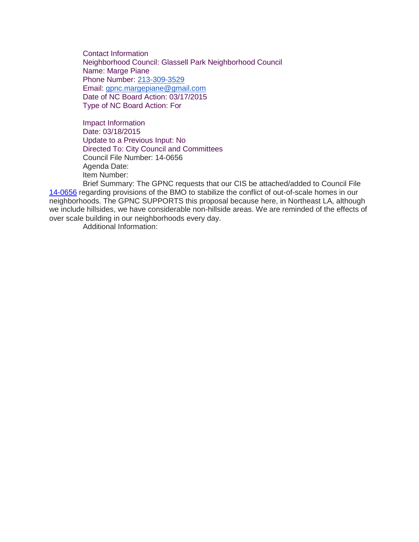Contact Information Neighborhood Council: Glassell Park Neighborhood Council Name: Marge Piane Phone Number: [213-309-3529](tel:213-309-3529) Email: [gpnc.margepiane@gmail.com](mailto:gpnc.margepiane@gmail.com) Date of NC Board Action: 03/17/2015 Type of NC Board Action: For

Impact Information Date: 03/18/2015 Update to a Previous Input: No Directed To: City Council and Committees Council File Number: 14-0656 Agenda Date: Item Number:

Brief Summary: The GPNC requests that our CIS be attached/added to Council File [14-0656](http://cityclerk.lacity.org/lacityclerkconnect/index.cfm?fa=ccfi.viewrecord&cfnumber=14-0656) regarding provisions of the BMO to stabilize the conflict of out-of-scale homes in our neighborhoods. The GPNC SUPPORTS this proposal because here, in Northeast LA, although we include hillsides, we have considerable non-hillside areas. We are reminded of the effects of over scale building in our neighborhoods every day.

Additional Information: